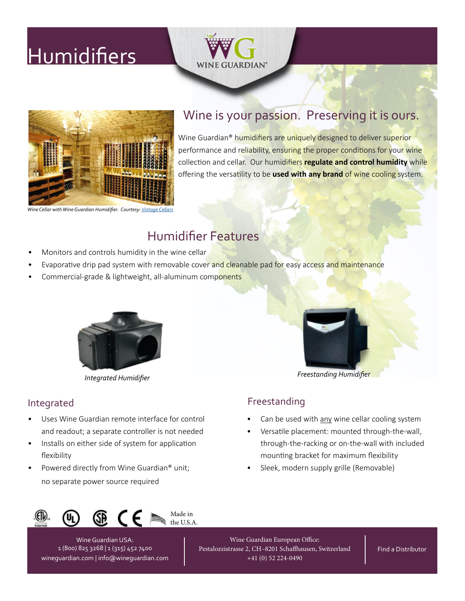# **[Humidifiers](https://wineguardian.com/wine-cellar-cooling-units/humidifiers/)**





## Wine is your passion. Preserving it is ours.

Wine Guardian<sup>®</sup> humidifiers are uniquely designed to deliver superior performance and reliability, ensuring the proper conditions for your wine collection and cellar. Our humidifiers **regulate and control humidity** while offering the versatility to be **used with any brand** of wine cooling system.

*[Wine Cellar with Wine Guardian Humidifier. Courtesy:](https://wineguardian.com/support-wine-cellar-consultation/distributors-united-states-canada-international/distributor-projects-gallery/vintage-cellars-projects-gallery/) [Vintage Cellars](https://vintagecellars.com/collections/wine-guardian)*

# Humidifier Features

- Monitors and controls humidity in the wine cellar
- Evaporative drip pad system with removable cover and cleanable pad for easy access and maintenance
- Commercial-grade & lightweight, all-aluminum components





*[Freestanding Humidifier](https://wineguardian.com/wine-cellar-cooling-units/humidifiers/) [Integrated Humidifier](https://wineguardian.com/shop/integrated-humidifier/)*

- Uses Wine Guardian remote interface for control and readout; a separate controller is not needed
- Installs on either side of system for application flexibility
- Powered directly from Wine Guardian® unit; no separate power source required

### Integrated **Freestanding**

- Can be used with any wine cellar cooling system
- Versatile placement: mounted through-the-wall, through-the-racking or on-the-wall with included mounting bracket for maximum flexibility
- Sleek, modern supply grille (Removable)



Wine Guardian USA: 1 (800) 825 3268 | 1 (315) 452 7400 [wineguardian.com](https://wineguardian.com/) | [info@wineguardian.com](mailto: info@wineguardian.com)

Wine Guardian European Office: Pestalozzistrasse 2, CH–8201 Schaffhausen, Switzerland +41 (0) 52 224-0490

[Find a Distributor](https://wineguardian.com/support-wine-cellar-consultation/distributors-united-states-canada-international/)